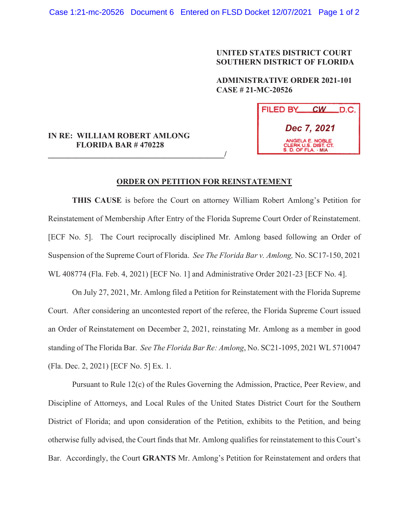## **UNITED STATES DISTRICT COURT SOUTHERN DISTRICT OF FLORIDA**

 **ADMINISTRATIVE ORDER 2021-101 CASE # 21-MC-20526** 

| FILED BY<br><b>CW</b>                                          | .D.C. I |
|----------------------------------------------------------------|---------|
| Dec 7, 2021                                                    |         |
| ANGELA E. NOBLE<br>CLERK U.S. DIST. CT.<br>S. D. OF FLA. - MIA |         |

## **IN RE: WILLIAM ROBERT AMLONG FLORIDA BAR # 470228**

**\_\_\_\_\_\_\_\_\_\_\_\_\_\_\_\_\_\_\_\_\_\_\_\_\_\_\_\_\_\_\_\_\_\_\_\_\_\_\_\_\_\_\_\_/**

## **ORDER ON PETITION FOR REINSTATEMENT**

**THIS CAUSE** is before the Court on attorney William Robert Amlong's Petition for Reinstatement of Membership After Entry of the Florida Supreme Court Order of Reinstatement. [ECF No. 5]. The Court reciprocally disciplined Mr. Amlong based following an Order of Suspension of the Supreme Court of Florida. *See The Florida Bar v. Amlong,* No. SC17-150, 2021 WL 408774 (Fla. Feb. 4, 2021) [ECF No. 1] and Administrative Order 2021-23 [ECF No. 4].

On July 27, 2021, Mr. Amlong filed a Petition for Reinstatement with the Florida Supreme Court. After considering an uncontested report of the referee, the Florida Supreme Court issued an Order of Reinstatement on December 2, 2021, reinstating Mr. Amlong as a member in good standing of The Florida Bar. *See The Florida Bar Re: Amlong*, No. SC21-1095, 2021 WL 5710047 (Fla. Dec. 2, 2021) [ECF No. 5] Ex. 1.

 Pursuant to Rule 12(c) of the Rules Governing the Admission, Practice, Peer Review, and Discipline of Attorneys, and Local Rules of the United States District Court for the Southern District of Florida; and upon consideration of the Petition, exhibits to the Petition, and being otherwise fully advised, the Court finds that Mr. Amlong qualifies for reinstatement to this Court's Bar. Accordingly, the Court **GRANTS** Mr. Amlong's Petition for Reinstatement and orders that